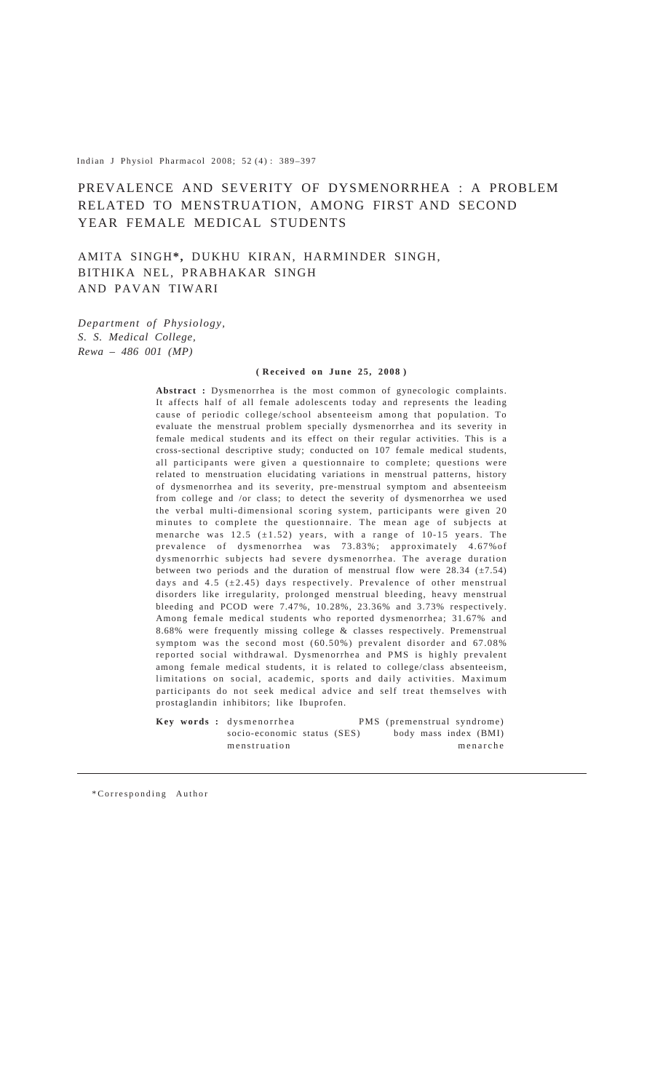Indian J Physiol Pharmacol 2008; 52 (4) : 389–397

# PREVALENCE AND SEVERITY OF DYSMENORRHEA : A PROBLEM RELATED TO MENSTRUATION, AMONG FIRST AND SECOND YEAR FEMALE MEDICAL STUDENTS

AMITA SINGH**\*,** DUKHU KIRAN, HARMINDER SINGH, BITHIKA NEL, PRABHAKAR SINGH AND PAVAN TIWARI

*Department of Physiology, S. S. Medical College, Rewa – 486 001 (MP)*

#### **( Received on June 25, 2008 )**

**Abstract :** Dysmenorrhea is the most common of gynecologic complaints. It affects half of all female adolescents today and represents the leading cause of periodic college/school absenteeism among that population. To evaluate the menstrual problem specially dysmenorrhea and its severity in female medical students and its effect on their regular activities. This is a cross-sectional descriptive study; conducted on 107 female medical students, all participants were given a questionnaire to complete; questions were related to menstruation elucidating variations in menstrual patterns, history of dysmenorrhea and its severity, pre-menstrual symptom and absenteeism from college and /or class; to detect the severity of dysmenorrhea we used the verbal multi-dimensional scoring system, participants were given 20 minutes to complete the questionnaire. The mean age of subjects at menarche was  $12.5$  ( $\pm 1.52$ ) years, with a range of 10-15 years. The prevalence of dysmenorrhea was 73.83%; approximately 4.67%of dysmenorrhic subjects had severe dysmenorrhea. The average duration between two periods and the duration of menstrual flow were  $28.34 \ (\pm 7.54)$ days and  $4.5$  ( $\pm 2.45$ ) days respectively. Prevalence of other menstrual disorders like irregularity, prolonged menstrual bleeding, heavy menstrual bleeding and PCOD were 7.47%, 10.28%, 23.36% and 3.73% respectively. Among female medical students who reported dysmenorrhea; 31.67% and 8.68% were frequently missing college & classes respectively. Premenstrual symptom was the second most (60.50%) prevalent disorder and 67.08% reported social withdrawal. Dysmenorrhea and PMS is highly prevalent among female medical students, it is related to college/class absenteeism, limitations on social, academic, sports and daily activities. Maximum participants do not seek medical advice and self treat themselves with prostaglandin inhibitors; like Ibuprofen.

**Key words :** dysmenorrhea PMS (premenstrual syndrome) socio-economic status (SES) body mass index (BMI) menstruation menarche

\*Corresponding Author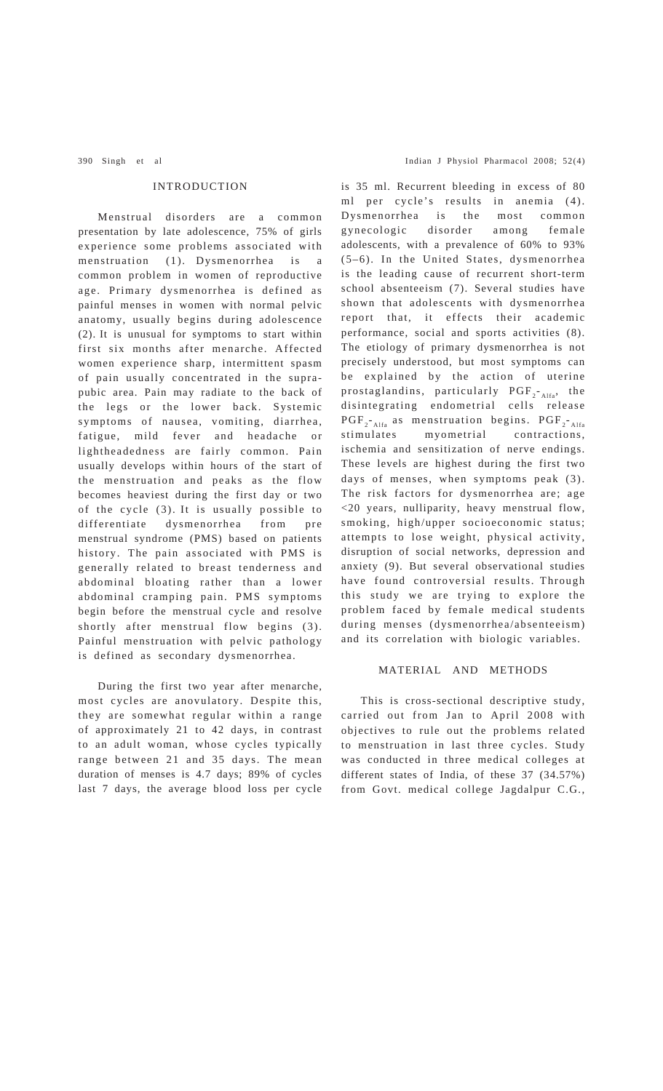# INTRODUCTION

Menstrual disorders are a common presentation by late adolescence, 75% of girls experience some problems associated with menstruation (1). Dysmenorrhea is a common problem in women of reproductive age. Primary dysmenorrhea is defined as painful menses in women with normal pelvic anatomy, usually begins during adolescence (2). It is unusual for symptoms to start within first six months after menarche. Affected women experience sharp, intermittent spasm of pain usually concentrated in the suprapubic area. Pain may radiate to the back of the legs or the lower back. Systemic symptoms of nausea, vomiting, diarrhea, fatigue, mild fever and headache or lightheadedness are fairly common. Pain usually develops within hours of the start of the menstruation and peaks as the flow becomes heaviest during the first day or two of the cycle (3). It is usually possible to differentiate dysmenorrhea from pre menstrual syndrome (PMS) based on patients history. The pain associated with PMS is generally related to breast tenderness and abdominal bloating rather than a lower abdominal cramping pain. PMS symptoms begin before the menstrual cycle and resolve shortly after menstrual flow begins (3). Painful menstruation with pelvic pathology is defined as secondary dysmenorrhea.

During the first two year after menarche, most cycles are anovulatory. Despite this, they are somewhat regular within a range of approximately 21 to 42 days, in contrast to an adult woman, whose cycles typically range between 21 and 35 days. The mean duration of menses is 4.7 days; 89% of cycles last 7 days, the average blood loss per cycle

is 35 ml. Recurrent bleeding in excess of 80 ml per cycle's results in anemia (4). Dysmenorrhea is the most common gynecologic disorder among female adolescents, with a prevalence of 60% to 93% (5–6). In the United States, dysmenorrhea is the leading cause of recurrent short-term school absenteeism (7). Several studies have shown that adolescents with dysmenorrhea report that, it effects their academic performance, social and sports activities (8). The etiology of primary dysmenorrhea is not precisely understood, but most symptoms can be explained by the action of uterine prostaglandins, particularly  $PGF_{2-A1fa}$ , the disintegrating endometrial cells release  $PGF_{2-A1fa}$  as menstruation begins.  $PGF_{2-A1fa}$ stimulates myometrial contractions, ischemia and sensitization of nerve endings. These levels are highest during the first two days of menses, when symptoms peak (3). The risk factors for dysmenorrhea are; age <20 years, nulliparity, heavy menstrual flow, smoking, high/upper socioeconomic status; attempts to lose weight, physical activity, disruption of social networks, depression and anxiety (9). But several observational studies have found controversial results. Through this study we are trying to explore the problem faced by female medical students during menses (dysmenorrhea/absenteeism) and its correlation with biologic variables.

# MATERIAL AND METHODS

This is cross-sectional descriptive study, carried out from Jan to April 2008 with objectives to rule out the problems related to menstruation in last three cycles. Study was conducted in three medical colleges at different states of India, of these 37 (34.57%) from Govt. medical college Jagdalpur C.G.,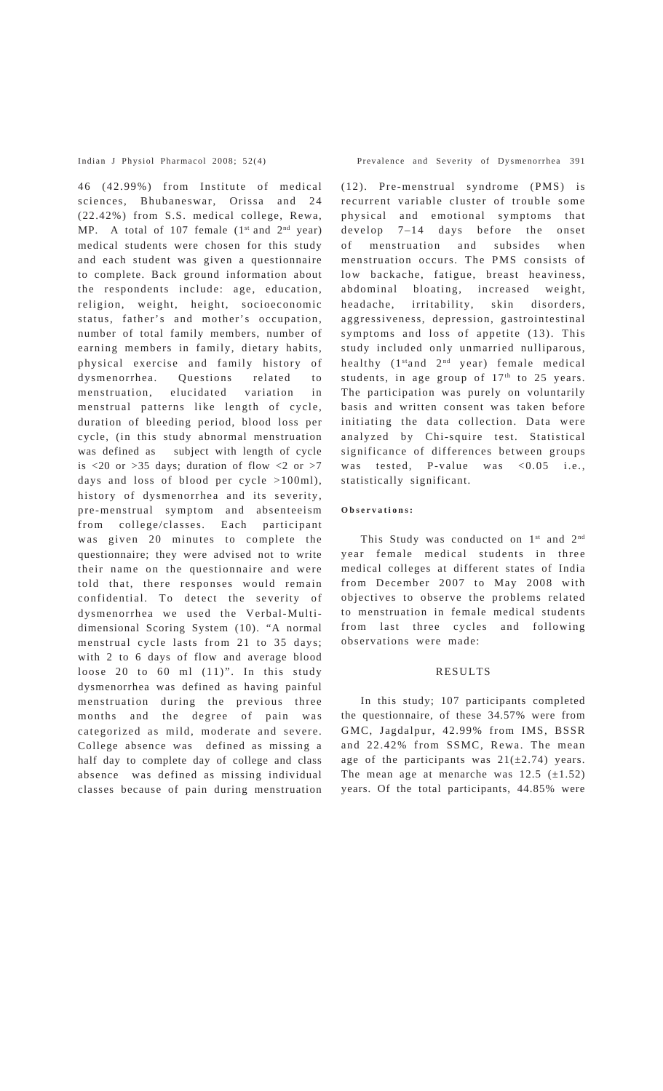46 (42.99%) from Institute of medical sciences, Bhubaneswar, Orissa and 24 (22.42%) from S.S. medical college, Rewa, MP. A total of 107 female  $(1<sup>st</sup>$  and  $2<sup>nd</sup>$  year) medical students were chosen for this study and each student was given a questionnaire to complete. Back ground information about the respondents include: age, education, religion, weight, height, socioeconomic status, father's and mother's occupation, number of total family members, number of earning members in family, dietary habits, physical exercise and family history of dysmenorrhea. Questions related to menstruation, elucidated variation in menstrual patterns like length of cycle, duration of bleeding period, blood loss per cycle, (in this study abnormal menstruation was defined as subject with length of cycle is  $\langle 20 \text{ or } >35 \text{ days}$ ; duration of flow  $\langle 2 \text{ or } >7 \rangle$ days and loss of blood per cycle >100ml), history of dysmenorrhea and its severity, pre-menstrual symptom and absenteeism from college/classes. Each participant was given 20 minutes to complete the questionnaire; they were advised not to write their name on the questionnaire and were told that, there responses would remain confidential. To detect the severity of dysmenorrhea we used the Verbal-Multidimensional Scoring System (10). "A normal menstrual cycle lasts from 21 to 35 days; with 2 to 6 days of flow and average blood loose 20 to 60 ml (11)". In this study dysmenorrhea was defined as having painful menstruation during the previous three months and the degree of pain was categorized as mild, moderate and severe. College absence was defined as missing a half day to complete day of college and class absence was defined as missing individual classes because of pain during menstruation

Indian J Physiol Pharmacol 2008; 52(4) Prevalence and Severity of Dysmenorrhea 391

(12). Pre-menstrual syndrome (PMS) is recurrent variable cluster of trouble some physical and emotional symptoms that develop 7–14 days before the onset of menstruation and subsides when menstruation occurs. The PMS consists of low backache, fatigue, breast heaviness, abdominal bloating, increased weight, headache, irritability, skin disorders, aggressiveness, depression, gastrointestinal symptoms and loss of appetite (13). This study included only unmarried nulliparous, healthy (1stand 2nd year) female medical students, in age group of  $17<sup>th</sup>$  to 25 years. The participation was purely on voluntarily basis and written consent was taken before initiating the data collection. Data were analyzed by Chi-squire test. Statistical significance of differences between groups was tested, P-value was <0.05 i.e., statistically significant.

## **Observations:**

This Study was conducted on 1<sup>st</sup> and 2<sup>nd</sup> year female medical students in three medical colleges at different states of India from December 2007 to May 2008 with objectives to observe the problems related to menstruation in female medical students from last three cycles and following observations were made:

# RESULTS

In this study; 107 participants completed the questionnaire, of these 34.57% were from GMC, Jagdalpur, 42.99% from IMS, BSSR and 22.42% from SSMC, Rewa. The mean age of the participants was  $21(\pm 2.74)$  years. The mean age at menarche was  $12.5$  ( $\pm 1.52$ ) years. Of the total participants, 44.85% were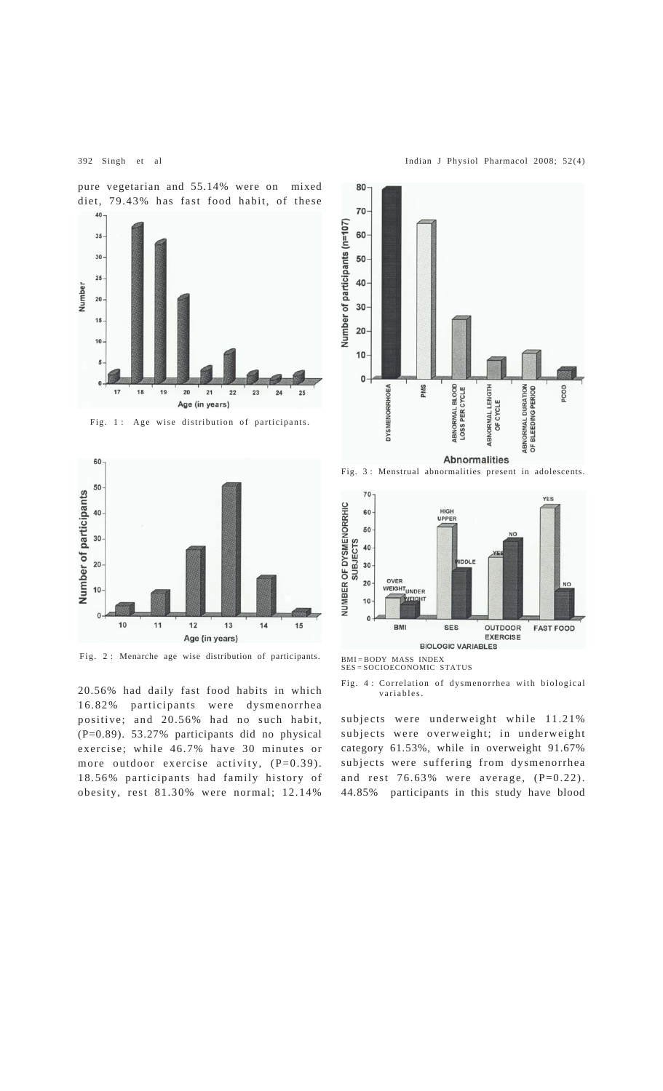392 Singh et al Indian J Physiol Pharmacol 2008; 52(4)

pure vegetarian and 55.14% were on mixed diet, 79.43% has fast food habit, of these



Fig. 1 : Age wise distribution of participants.



Fig. 2 : Menarche age wise distribution of participants.

20.56% had daily fast food habits in which 16.82% participants were dysmenorrhea positive; and 20.56% had no such habit, (P=0.89). 53.27% participants did no physical exercise; while 46.7% have 30 minutes or more outdoor exercise activity, (P=0.39). 18.56% participants had family history of obesity, rest 81.30% were normal; 12.14%



Fig. 3 : Menstrual abnormalities present in adolescents.



BMI = BODY MASS INDEX

SES = SOCIOECONOMIC STATUS

subjects were underweight while 11.21% subjects were overweight; in underweight category 61.53%, while in overweight 91.67% subjects were suffering from dysmenorrhea and rest 76.63% were average, (P=0.22). 44.85% participants in this study have blood

Fig. 4 : Correlation of dysmenorrhea with biological variables.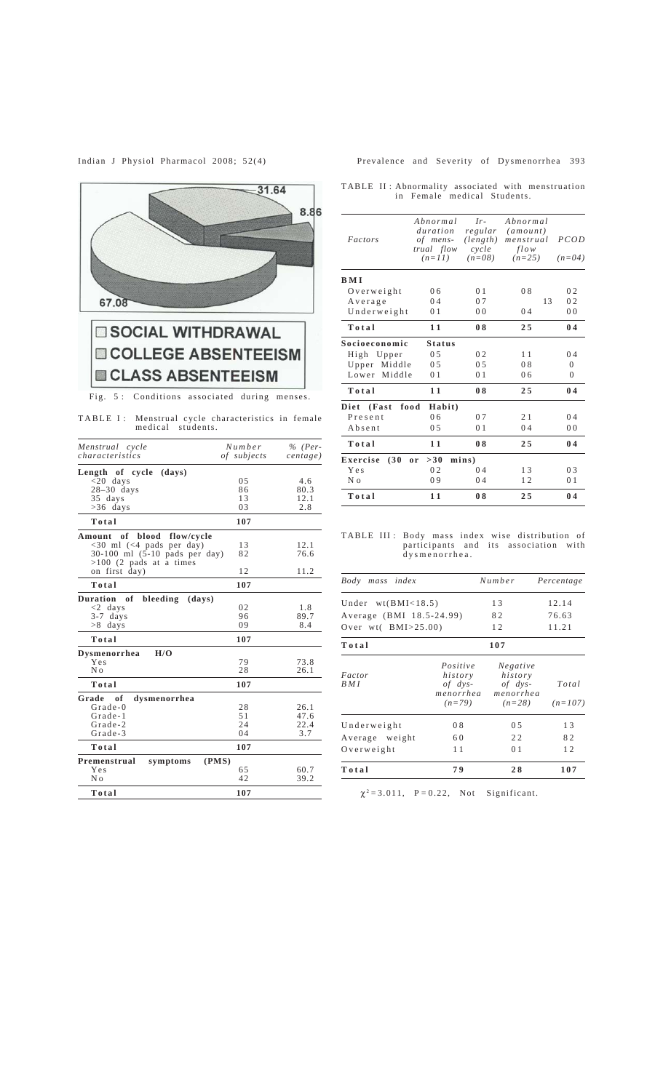

# **COLLEGE ABSENTEEISM ELASS ABSENTEEISM**

Fig. 5 : Conditions associated during menses.

TABLE I: Menstrual cycle characteristics in female<br>medical students.

| Menstrual cycle<br>characteristics          | Number<br>of subjects | $%$ (Per-<br>centerge) |
|---------------------------------------------|-----------------------|------------------------|
| (days)                                      |                       |                        |
| Length of cycle<br>$<$ 20 days              | 0.5                   | 4.6                    |
| $28-30$ days                                | 86                    | 80.3                   |
| 35 days                                     | 13                    | 12.1                   |
| $>36$ days                                  | 03                    | 2.8                    |
| Total                                       | 107                   |                        |
| Amount of blood flow/cycle                  |                       |                        |
| <30 ml (<4 pads per day)                    | 13                    | 12.1                   |
| $30-100$ ml $(5-10$ pads per day)           | 82                    | 76.6                   |
| $>100$ (2 pads at a times                   |                       |                        |
| on first day)                               | 12                    | 11.2                   |
| Total                                       | 107                   |                        |
| <b>Duration</b><br>of<br>bleeding<br>(days) |                       |                        |
| $<$ 2 days                                  | 0 <sub>2</sub>        | 1.8                    |
| $3-7$ days                                  | 96                    | 89.7                   |
| >8 days                                     | 09                    | 8.4                    |
| Total                                       | 107                   |                        |
| H/O<br>Dysmenorrhea                         |                       |                        |
| Yes                                         | 79                    | 73.8                   |
| N <sub>0</sub>                              | 28                    | 26.1                   |
| Total                                       | 107                   |                        |
| Grade<br>of<br>dysmenorrhea                 |                       |                        |
| $Grade - 0$                                 | 28                    | 26.1                   |
| Grade-1                                     | 51                    | 47.6                   |
| Grade-2                                     | 24                    | 22.4                   |
| Grade-3                                     | 04                    | 3.7                    |
| Total                                       | 107                   |                        |
| Premenstrual<br>(PMS)<br>symptoms           |                       |                        |
| Yes                                         | 65                    | 60.7                   |
| N <sub>o</sub>                              | 42                    | 39.2                   |
| Total                                       | 107                   |                        |
|                                             |                       |                        |

# Indian J Physiol Pharmacol 2008; 52(4) Prevalence and Severity of Dysmenorrhea 393

TABLE II : Abnormality associated with menstruation in Female medical Students.

| Abnormal<br>duration | $Ir-$                                              | Abnormal                  |                  |
|----------------------|----------------------------------------------------|---------------------------|------------------|
| of mens-             | (length)                                           | menstrual                 | PCOD             |
| $(n=11)$             | $(n=08)$                                           | $(n=25)$                  | $(n=04)$         |
|                      |                                                    |                           |                  |
| 06                   | 0 <sub>1</sub>                                     | 08                        | 02               |
| 04                   | 0.7                                                | 13                        | 02               |
| 0 <sub>1</sub>       | 0 <sub>0</sub>                                     | 04                        | 0 <sub>0</sub>   |
| 11                   | 08                                                 | 25                        | 04               |
| <b>Status</b>        |                                                    |                           |                  |
| 0.5                  | 02                                                 | 11                        | 04               |
| 0.5                  | 0.5                                                | 08                        | $\Omega$         |
| 0 <sub>1</sub>       | 0 <sub>1</sub>                                     | 0 <sub>6</sub>            | 0                |
| 11                   | 08                                                 | 25                        | 04               |
| Habit)               |                                                    |                           |                  |
| 0 <sub>6</sub>       | 0.7                                                | 21                        | 04               |
| 05                   | 0 <sub>1</sub>                                     | 04                        | 0 <sub>0</sub>   |
| 11                   | 08                                                 | 25                        | 04               |
| >30                  |                                                    |                           |                  |
| 0 <sub>2</sub>       | 04                                                 | 13                        | 03               |
| 09                   | 04                                                 | 12                        | 01               |
| 11                   | 08                                                 | 25                        | 04               |
|                      | trual flow<br>Upper Middle<br>Middle<br>food<br>0r | regular<br>cycle<br>mins) | (amount)<br>flow |

TABLE III : Body mass index wise distribution of participants and its association with dysmenorrhea.

| index<br>Body<br>mass     |                                                           | Number                                                      | Percentage         |
|---------------------------|-----------------------------------------------------------|-------------------------------------------------------------|--------------------|
| Under $wt(BMI<18.5)$      |                                                           | 13                                                          | 12.14              |
| Average (BMI 18.5-24.99)  | 82                                                        | 76.63                                                       |                    |
| Over $wt($ BMI $>$ 25.00) | 12                                                        | 11.21                                                       |                    |
| Total                     |                                                           | 107                                                         |                    |
| Factor<br>B M I           | Positive<br>history<br>$of$ dys-<br>menorrhea<br>$(n=79)$ | Negative<br>history<br>$of$ $dys-$<br>menorrhea<br>$(n=28)$ | Total<br>$(n=107)$ |
| Underweight               | 08                                                        | 05                                                          | 13                 |
| Average weight            | 60                                                        | 22                                                          | 82                 |
| Overweight                | 11                                                        | 0 <sub>1</sub>                                              | 12                 |
| Total                     | 79                                                        | 28                                                          | 107                |

 $\chi^2 = 3.011$ ,  $P = 0.22$ , Not Significant.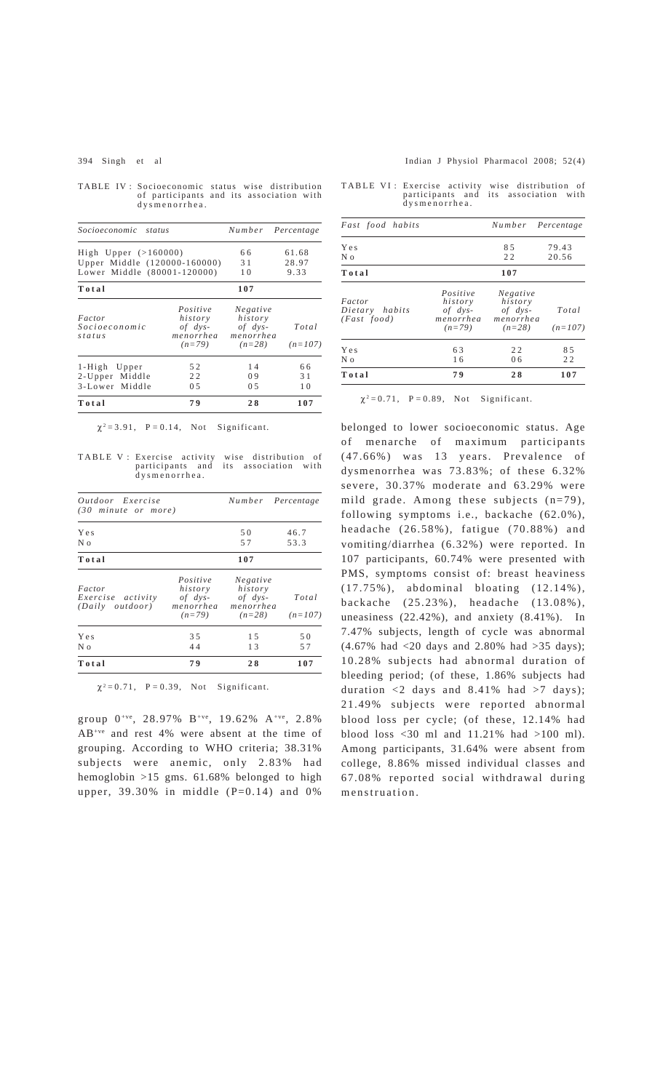TABLE IV : Socioeconomic status wise distribution of participants and its association with dysmenorrhea.

| Socioeconomic<br>status      |                          |                          | Number Percentage |
|------------------------------|--------------------------|--------------------------|-------------------|
| High Upper $(>160000)$       |                          | 66                       | 61.68             |
| Upper Middle (120000-160000) | 31                       | 28.97                    |                   |
| Lower Middle (80001-120000)  |                          | 10                       | 9.33              |
| Total                        |                          | 107                      |                   |
| Factor                       | Positive<br>history      | Negative<br>history      |                   |
| Socioeconomic<br>status      | $of$ $dys-$<br>menorrhea | $of$ $dys-$<br>menorrhea | Total             |
|                              | $(n=79)$                 | $(n=28)$                 | $(n=107)$         |
| 1-High Upper                 | 52                       | 14                       | 66                |
| 2-Upper Middle               | 22                       | 09                       | 31                |
| 3-Lower Middle               | 0.5                      | 0.5                      | 10                |
| Total                        | 79                       | 28                       | 107               |

 $\chi^2 = 3.91$ ,  $P = 0.14$ , Not Significant.

TABLE V: Exercise activity wise distribution of participants and its association with dysmenorrhea.

| <i>Outdoor</i> Exercise<br>(30 minute or more) |                                                             |                                                             | Number Percentage  |
|------------------------------------------------|-------------------------------------------------------------|-------------------------------------------------------------|--------------------|
| Yes<br>N o                                     |                                                             | 50<br>57                                                    | 46.7<br>53.3       |
| Total                                          |                                                             | 107                                                         |                    |
| Factor<br>Exercise activity<br>(Daily outdoor) | Positive<br>history<br>$of$ $dvs-$<br>menorrhea<br>$(n=79)$ | Negative<br>history<br>$of$ $dvs-$<br>menorrhea<br>$(n=28)$ | Total<br>$(n=107)$ |
| Yes<br>N 0                                     | 3.5<br>44                                                   | 1.5<br>13                                                   | 50<br>57           |
| Total                                          | 79                                                          | 28                                                          | 107                |

 $\chi^2 = 0.71$ ,  $P = 0.39$ , Not Significant.

group  $0^{+ve}$ , 28.97% B<sup>+ve</sup>, 19.62% A<sup>+ve</sup>, 2.8% AB+ve and rest 4% were absent at the time of grouping. According to WHO criteria; 38.31% subjects were anemic, only 2.83% had hemoglobin >15 gms. 61.68% belonged to high upper,  $39.30\%$  in middle (P=0.14) and 0%

#### 394 Singh et al Indian J Physiol Pharmacol 2008; 52(4)

|  | TABLE VI: Exercise activity wise distribution of |  |  |  |  |
|--|--------------------------------------------------|--|--|--|--|
|  | participants and its association with            |  |  |  |  |
|  | dysmenorrhea.                                    |  |  |  |  |

| Fast food habits                        |                                                             | Number Percentage                                           |                    |
|-----------------------------------------|-------------------------------------------------------------|-------------------------------------------------------------|--------------------|
| Yes<br>N <sub>0</sub>                   |                                                             | 85<br>22                                                    | 79.43<br>20.56     |
| Total                                   |                                                             | 107                                                         |                    |
| Factor<br>Dietary habits<br>(Fast food) | Positive<br>history<br>$of$ $dvs-$<br>menorrhea<br>$(n=79)$ | Negative<br>history<br>$of$ $dvs-$<br>menorrhea<br>$(n=28)$ | Total<br>$(n=107)$ |
| Yes<br>N <sub>0</sub>                   | 63<br>16                                                    | 22<br>0 <sub>6</sub>                                        | 8.5<br>22          |
| Total                                   | 79                                                          | 28                                                          | 107                |

 $\chi^2 = 0.71$ , P = 0.89, Not Significant.

belonged to lower socioeconomic status. Age of menarche of maximum participants (47.66%) was 13 years. Prevalence of dysmenorrhea was 73.83%; of these 6.32% severe, 30.37% moderate and 63.29% were mild grade. Among these subjects (n=79), following symptoms i.e., backache (62.0%), headache (26.58%), fatigue (70.88%) and vomiting/diarrhea (6.32%) were reported. In 107 participants, 60.74% were presented with PMS, symptoms consist of: breast heaviness (17.75%), abdominal bloating (12.14%), backache (25.23%), headache (13.08%), uneasiness (22.42%), and anxiety (8.41%). In 7.47% subjects, length of cycle was abnormal (4.67% had <20 days and 2.80% had >35 days); 10.28% subjects had abnormal duration of bleeding period; (of these, 1.86% subjects had duration  $\langle 2 \rangle$  days and 8.41% had  $>7$  days); 21.49% subjects were reported abnormal blood loss per cycle; (of these, 12.14% had blood loss <30 ml and 11.21% had >100 ml). Among participants, 31.64% were absent from college, 8.86% missed individual classes and 67.08% reported social withdrawal during menstruation.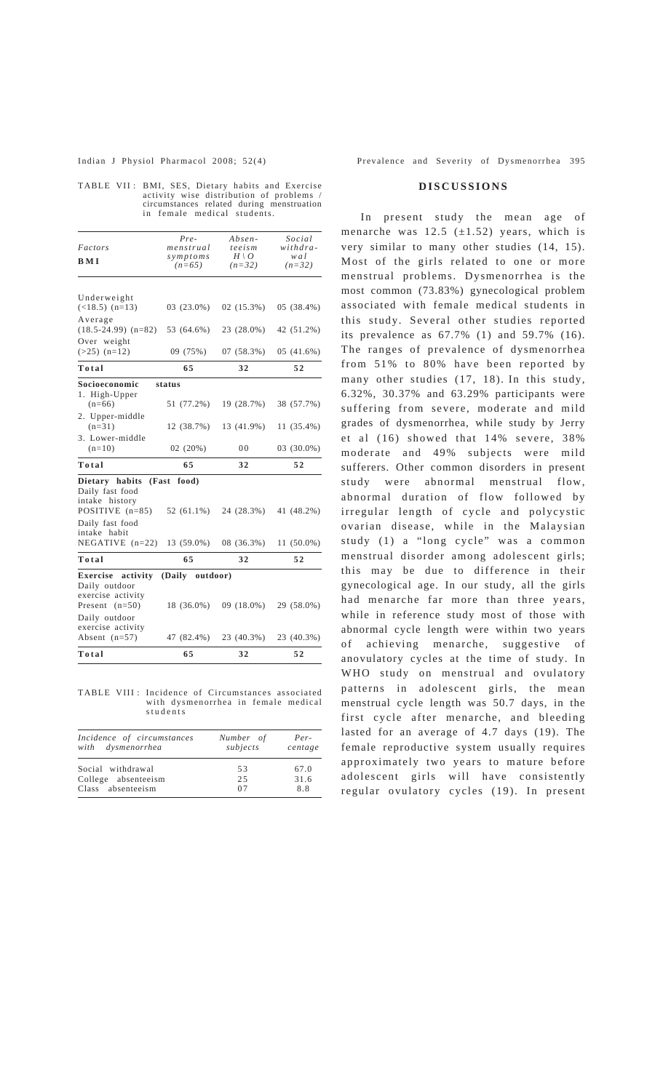|  | TABLE VII: BMI, SES, Dietary habits and Exercise |
|--|--------------------------------------------------|
|  | activity wise distribution of problems /         |
|  | circumstances related during menstruation        |
|  | in female medical students.                      |

| Factors                                                                  | Pre-<br>menstrual         | Absen-<br>teeism | Social<br>withdra- |  |
|--------------------------------------------------------------------------|---------------------------|------------------|--------------------|--|
|                                                                          | symptoms                  | $H \setminus O$  | wal                |  |
| BMI                                                                      | $(n=65)$                  | $(n=32)$         | $(n=32)$           |  |
| Underweight                                                              |                           |                  |                    |  |
| $(<18.5)$ (n=13)                                                         | 03 (23.0%)                | $02(15.3\%)$     | 05 (38.4%)         |  |
| Average<br>$(18.5-24.99)$ $(n=82)$                                       | 53 (64.6%)                | 23 (28.0%)       | 42 (51.2%)         |  |
| Over weight<br>$(>25)$ $(n=12)$                                          | 09 (75%)                  | 07 (58.3%)       | 05 (41.6%)         |  |
| Total                                                                    | 65                        | 32               | 52                 |  |
| Socioeconomic<br>1. High-Upper                                           | status                    |                  |                    |  |
| $(n=66)$                                                                 | 51 (77.2%)                | 19 (28.7%)       | 38 (57.7%)         |  |
| 2. Upper-middle<br>$(n=31)$                                              | 12 (38.7%)                | 13 (41.9%)       | 11 (35.4%)         |  |
| 3. Lower-middle<br>$(n=10)$                                              | 02(20%)                   | 00               | 03 (30.0%)         |  |
| Total                                                                    | 65                        | 32               | 52                 |  |
| Dietary habits<br>Daily fast food<br>intake history<br>POSITIVE $(n=85)$ | (Fast food)<br>52 (61.1%) | 24 (28.3%)       | 41 (48.2%)         |  |
| Daily fast food<br>intake habit                                          |                           |                  |                    |  |
| NEGATIVE $(n=22)$                                                        | 13 (59.0%)                | 08 (36.3%)       | 11 (50.0%)         |  |
| Total                                                                    | 65                        | 32               | 52                 |  |
| Exercise activity<br>Daily outdoor<br>exercise activity                  | (Daily outdoor)           |                  |                    |  |
| Present $(n=50)$                                                         | 18 (36.0%)                | 09 (18.0%)       | 29 (58.0%)         |  |
| Daily outdoor<br>exercise activity                                       |                           |                  |                    |  |
| Absent $(n=57)$                                                          | 47 (82.4%)                | 23 (40.3%)       | 23 (40.3%)         |  |
|                                                                          |                           |                  |                    |  |

TABLE VIII : Incidence of Circumstances associated with dysmenorrhea in female medical students

| Incidence of circumstances | Number of | Per-    |
|----------------------------|-----------|---------|
| with dysmenorrhea          | subjects  | centage |
| Social withdrawal          | 53        | 67.0    |
| College absenteeism        | 2.5       | 31.6    |
| Class absenteeism          | 07        | 8.8     |

# **DISCUSSIONS**

In present study the mean age of menarche was  $12.5$  ( $\pm 1.52$ ) years, which is very similar to many other studies (14, 15). Most of the girls related to one or more menstrual problems. Dysmenorrhea is the most common (73.83%) gynecological problem associated with female medical students in this study. Several other studies reported its prevalence as 67.7% (1) and 59.7% (16). The ranges of prevalence of dysmenorrhea from 51% to 80% have been reported by many other studies (17, 18). In this study, 6.32%, 30.37% and 63.29% participants were suffering from severe, moderate and mild grades of dysmenorrhea, while study by Jerry et al (16) showed that 14% severe, 38% moderate and 49% subjects were mild sufferers. Other common disorders in present study were abnormal menstrual flow, abnormal duration of flow followed by irregular length of cycle and polycystic ovarian disease, while in the Malaysian study (1) a "long cycle" was a common menstrual disorder among adolescent girls; this may be due to difference in their gynecological age. In our study, all the girls had menarche far more than three years, while in reference study most of those with abnormal cycle length were within two years of achieving menarche, suggestive of anovulatory cycles at the time of study. In WHO study on menstrual and ovulatory patterns in adolescent girls, the mean menstrual cycle length was 50.7 days, in the first cycle after menarche, and bleeding lasted for an average of 4.7 days (19). The female reproductive system usually requires approximately two years to mature before adolescent girls will have consistently regular ovulatory cycles (19). In present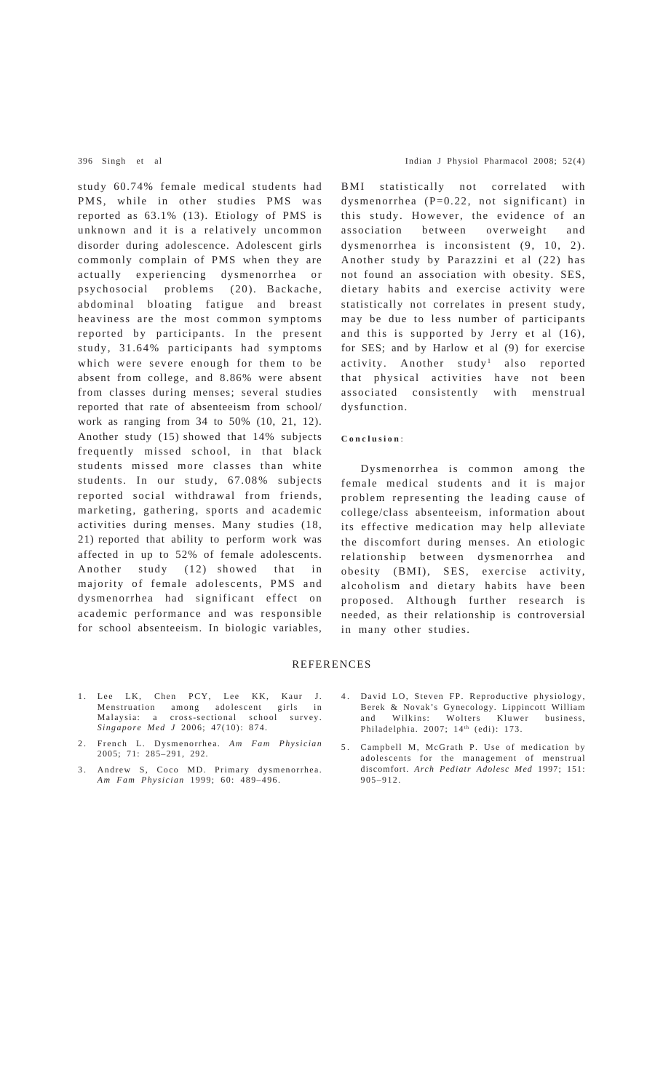study 60.74% female medical students had PMS, while in other studies PMS was reported as 63.1% (13). Etiology of PMS is unknown and it is a relatively uncommon disorder during adolescence. Adolescent girls commonly complain of PMS when they are actually experiencing dysmenorrhea or psychosocial problems (20). Backache, abdominal bloating fatigue and breast heaviness are the most common symptoms reported by participants. In the present study, 31.64% participants had symptoms which were severe enough for them to be absent from college, and 8.86% were absent from classes during menses; several studies reported that rate of absenteeism from school/ work as ranging from 34 to 50% (10, 21, 12). Another study (15) showed that 14% subjects frequently missed school, in that black students missed more classes than white students. In our study, 67.08% subjects reported social withdrawal from friends, marketing, gathering, sports and academic activities during menses. Many studies (18, 21) reported that ability to perform work was affected in up to 52% of female adolescents. Another study (12) showed that in majority of female adolescents, PMS and dysmenorrhea had significant effect on academic performance and was responsible for school absenteeism. In biologic variables,

- 1. Lee LK, Chen PCY, Lee KK, Kaur J.<br>Menstruation among adolescent girls in Menstruation among adolescent girls in Malaysia: a cross-sectional school survey. *Singapore Med J* 2006; 47(10): 874.
- 2. French L. Dysmenorrhea. *Am Fam Physician* 2005; 71: 285–291, 292.
- 3. Andrew S, Coco MD. Primary dysmenorrhea. *Am Fam Physician* 1999; 60: 489–496.

BMI statistically not correlated with dysmenorrhea (P=0.22, not significant) in this study. However, the evidence of an association between overweight and dysmenorrhea is inconsistent (9, 10, 2). Another study by Parazzini et al (22) has not found an association with obesity. SES, dietary habits and exercise activity were statistically not correlates in present study, may be due to less number of participants and this is supported by Jerry et al (16), for SES; and by Harlow et al (9) for exercise activity. Another study<sup>1</sup> also reported that physical activities have not been associated consistently with menstrual dysfunction.

### **Conclusion** :

Dysmenorrhea is common among the female medical students and it is major problem representing the leading cause of college/class absenteeism, information about its effective medication may help alleviate the discomfort during menses. An etiologic relationship between dysmenorrhea and obesity (BMI), SES, exercise activity, alcoholism and dietary habits have been proposed. Although further research is needed, as their relationship is controversial in many other studies.

## REFERENCES

- 4. David LO, Steven FP. Reproductive physiology, Berek & Novak's Gynecology. Lippincott William and Wilkins: Wolters Kluwer business, Philadelphia. 2007; 14<sup>th</sup> (edi): 173.
- 5. Campbell M, McGrath P. Use of medication by adolescents for the management of menstrual discomfort. *Arch Pediatr Adolesc Med* 1997; 151: 905–912.